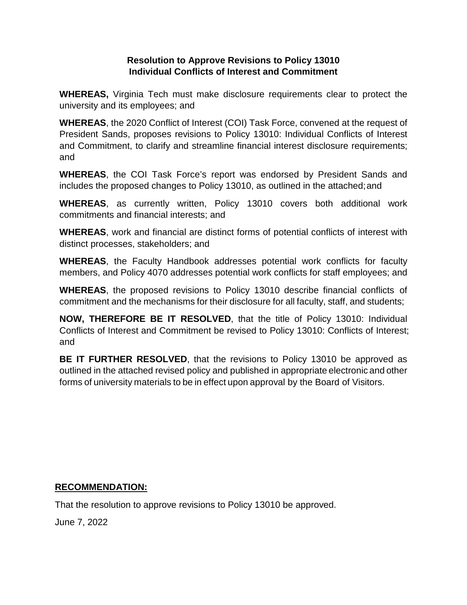## **RESOLUTION TO APPROVE REVISIOSN TO POLICY 13010 INDIVIDUAL CONFLICTS OF INTEREST AND COMMITMENT**

**WHEREAS,** Virginia Tech must make disclosure requirements clear to protect the university and its employees; and

**WHEREAS**, the 2020 Conflict of Interest (COI) Task Force, convened at the request of President Sands, proposes revisions to Policy 13010: Individual Conflicts of Interest and Commitment, to clarify and streamline financial interest disclosure requirements; and

**WHEREAS**, the COI Task Force's report was endorsed by President Sands and includes the proposed changes to Policy 13010, as outlined in the attached;and

**WHEREAS**, as currently written, Policy 13010 covers both additional work commitments and financial interests; and

**WHEREAS**, work and financial are distinct forms of potential conflicts of interest with distinct processes, stakeholders; and

**WHEREAS**, the Faculty Handbook addresses potential work conflicts for faculty members, and Policy 4070 addresses potential work conflicts for staff employees; and

**WHEREAS**, the proposed revisions to Policy 13010 describe financial conflicts of commitment and the mechanisms for their disclosure for all faculty, staff, and students;

**NOW, THEREFORE BE IT RESOLVED**, that the title of Policy 13010: Individual Conflicts of Interest and Commitment be revised to Policy 13010: Conflicts of Interest; and

**BE IT FURTHER RESOLVED**, that the revisions to Policy 13010 be approved as outlined in the attached revised policy and published in appropriate electronic and other forms of university materials to be in effect upon approval by the Board of Visitors.

## **RECOMMENDATION:**

That the resolution to approve revisions to Policy 13010 be approved.

June 7, 2022